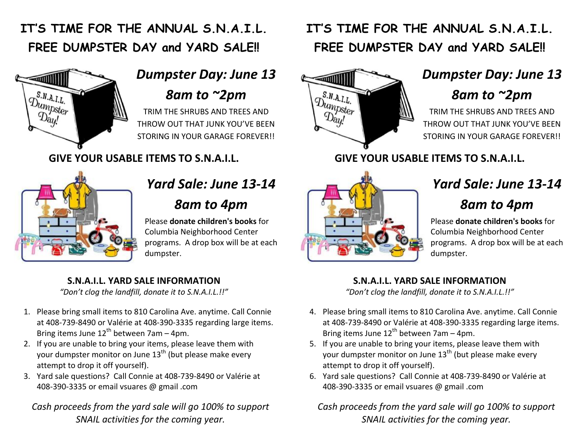### **IT'S TIME FOR THE ANNUAL S.N.A.I.L. FREE DUMPSTER DAY and YARD SALE!!**



# *Dumpster Day: June 13*

*8am to ~2pm*

TRIM THE SHRUBS AND TREES AND THROW OUT THAT JUNK YOU'VE BEEN STORING IN YOUR GARAGE FOREVER!!

**GIVE YOUR USABLE ITEMS TO S.N.A.I.L.**



## *Yard Sale: June* 13-14

#### *8am to 4pm*

Please **donate children's books** for Columbia Neighborhood Center programs. A drop box will be at each dumpster.

#### **S.N.A.I.L. YARD SALE INFORMATION**

*"Don't clog the landfill, donate it to S.N.A.I.L.!!"*

- 1. Please bring small items to 810 Carolina Ave. anytime. Call Connie at 408-739-8490 or Valérie at 408-390-3335 regarding large items. Bring items June  $12^{th}$  between 7am – 4pm.
- 2. If you are unable to bring your items, please leave them with your dumpster monitor on June  $13<sup>th</sup>$  (but please make every attempt to drop it off yourself).
- 3. Yard sale questions? Call Connie at 408-739-8490 or Valérie at 408-390-3335 or email vsuares @ gmail .com

*Cash proceeds from the yard sale will go 100% to support SNAIL activities for the coming year.*